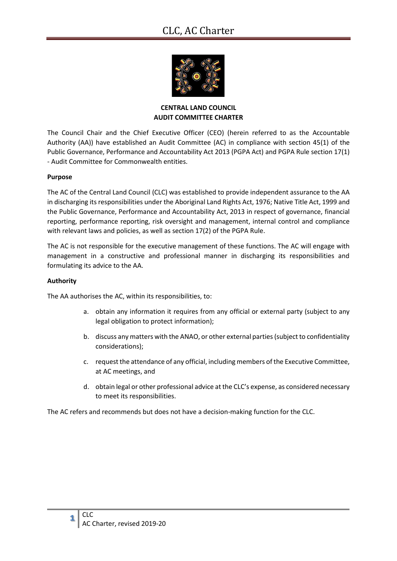# CLC, AC Charter



# **CENTRAL LAND COUNCIL AUDIT COMMITTEE CHARTER**

The Council Chair and the Chief Executive Officer (CEO) (herein referred to as the Accountable Authority (AA)) have established an Audit Committee (AC) in compliance with section 45(1) of the Public Governance, Performance and Accountability Act 2013 (PGPA Act) and PGPA Rule section 17(1) - Audit Committee for Commonwealth entities.

# **Purpose**

The AC of the Central Land Council (CLC) was established to provide independent assurance to the AA in discharging its responsibilities under the Aboriginal Land Rights Act, 1976; Native Title Act, 1999 and the Public Governance, Performance and Accountability Act, 2013 in respect of governance, financial reporting, performance reporting, risk oversight and management, internal control and compliance with relevant laws and policies, as well as section 17(2) of the PGPA Rule.

The AC is not responsible for the executive management of these functions. The AC will engage with management in a constructive and professional manner in discharging its responsibilities and formulating its advice to the AA.

#### **Authority**

The AA authorises the AC, within its responsibilities, to:

- a. obtain any information it requires from any official or external party (subject to any legal obligation to protect information);
- b. discuss any matters with the ANAO, or other external parties (subject to confidentiality considerations);
- c. request the attendance of any official, including members of the Executive Committee, at AC meetings, and
- d. obtain legal or other professional advice at the CLC's expense, as considered necessary to meet its responsibilities.

The AC refers and recommends but does not have a decision-making function for the CLC.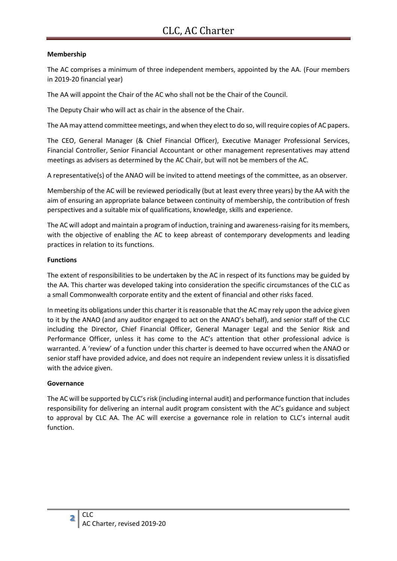# **Membership**

The AC comprises a minimum of three independent members, appointed by the AA. (Four members in 2019-20 financial year)

The AA will appoint the Chair of the AC who shall not be the Chair of the Council.

The Deputy Chair who will act as chair in the absence of the Chair.

The AA may attend committee meetings, and when they elect to do so, will require copies of AC papers.

The CEO, General Manager (& Chief Financial Officer), Executive Manager Professional Services, Financial Controller, Senior Financial Accountant or other management representatives may attend meetings as advisers as determined by the AC Chair, but will not be members of the AC.

A representative(s) of the ANAO will be invited to attend meetings of the committee, as an observer.

Membership of the AC will be reviewed periodically (but at least every three years) by the AA with the aim of ensuring an appropriate balance between continuity of membership, the contribution of fresh perspectives and a suitable mix of qualifications, knowledge, skills and experience.

The AC will adopt and maintain a program of induction, training and awareness-raising for its members, with the objective of enabling the AC to keep abreast of contemporary developments and leading practices in relation to its functions.

# **Functions**

The extent of responsibilities to be undertaken by the AC in respect of its functions may be guided by the AA. This charter was developed taking into consideration the specific circumstances of the CLC as a small Commonwealth corporate entity and the extent of financial and other risks faced.

In meeting its obligations under this charter it is reasonable that the AC may rely upon the advice given to it by the ANAO (and any auditor engaged to act on the ANAO's behalf), and senior staff of the CLC including the Director, Chief Financial Officer, General Manager Legal and the Senior Risk and Performance Officer, unless it has come to the AC's attention that other professional advice is warranted. A 'review' of a function under this charter is deemed to have occurred when the ANAO or senior staff have provided advice, and does not require an independent review unless it is dissatisfied with the advice given.

# **Governance**

The AC will be supported by CLC's risk (including internal audit) and performance function that includes responsibility for delivering an internal audit program consistent with the AC's guidance and subject to approval by CLC AA. The AC will exercise a governance role in relation to CLC's internal audit function.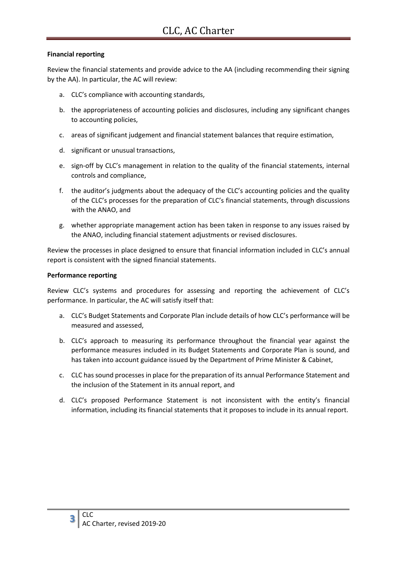# **Financial reporting**

Review the financial statements and provide advice to the AA (including recommending their signing by the AA). In particular, the AC will review:

- a. CLC's compliance with accounting standards,
- b. the appropriateness of accounting policies and disclosures, including any significant changes to accounting policies,
- c. areas of significant judgement and financial statement balances that require estimation,
- d. significant or unusual transactions,
- e. sign-off by CLC's management in relation to the quality of the financial statements, internal controls and compliance,
- f. the auditor's judgments about the adequacy of the CLC's accounting policies and the quality of the CLC's processes for the preparation of CLC's financial statements, through discussions with the ANAO, and
- g. whether appropriate management action has been taken in response to any issues raised by the ANAO, including financial statement adjustments or revised disclosures.

Review the processes in place designed to ensure that financial information included in CLC's annual report is consistent with the signed financial statements.

# **Performance reporting**

Review CLC's systems and procedures for assessing and reporting the achievement of CLC's performance. In particular, the AC will satisfy itself that:

- a. CLC's Budget Statements and Corporate Plan include details of how CLC's performance will be measured and assessed,
- b. CLC's approach to measuring its performance throughout the financial year against the performance measures included in its Budget Statements and Corporate Plan is sound, and has taken into account guidance issued by the Department of Prime Minister & Cabinet,
- c. CLC has sound processes in place for the preparation of its annual Performance Statement and the inclusion of the Statement in its annual report, and
- d. CLC's proposed Performance Statement is not inconsistent with the entity's financial information, including its financial statements that it proposes to include in its annual report.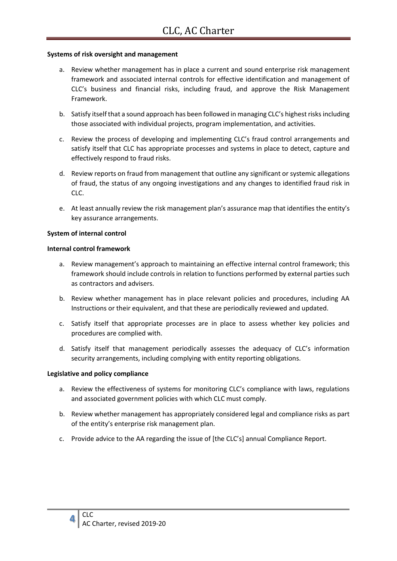#### **Systems of risk oversight and management**

- a. Review whether management has in place a current and sound enterprise risk management framework and associated internal controls for effective identification and management of CLC's business and financial risks, including fraud, and approve the Risk Management Framework.
- b. Satisfy itself that a sound approach has been followed in managing CLC's highest risks including those associated with individual projects, program implementation, and activities.
- c. Review the process of developing and implementing CLC's fraud control arrangements and satisfy itself that CLC has appropriate processes and systems in place to detect, capture and effectively respond to fraud risks.
- d. Review reports on fraud from management that outline any significant or systemic allegations of fraud, the status of any ongoing investigations and any changes to identified fraud risk in CLC.
- e. At least annually review the risk management plan's assurance map that identifies the entity's key assurance arrangements.

#### **System of internal control**

#### **Internal control framework**

- a. Review management's approach to maintaining an effective internal control framework; this framework should include controls in relation to functions performed by external parties such as contractors and advisers.
- b. Review whether management has in place relevant policies and procedures, including AA Instructions or their equivalent, and that these are periodically reviewed and updated.
- c. Satisfy itself that appropriate processes are in place to assess whether key policies and procedures are complied with.
- d. Satisfy itself that management periodically assesses the adequacy of CLC's information security arrangements, including complying with entity reporting obligations.

#### **Legislative and policy compliance**

- a. Review the effectiveness of systems for monitoring CLC's compliance with laws, regulations and associated government policies with which CLC must comply.
- b. Review whether management has appropriately considered legal and compliance risks as part of the entity's enterprise risk management plan.
- c. Provide advice to the AA regarding the issue of [the CLC's] annual Compliance Report.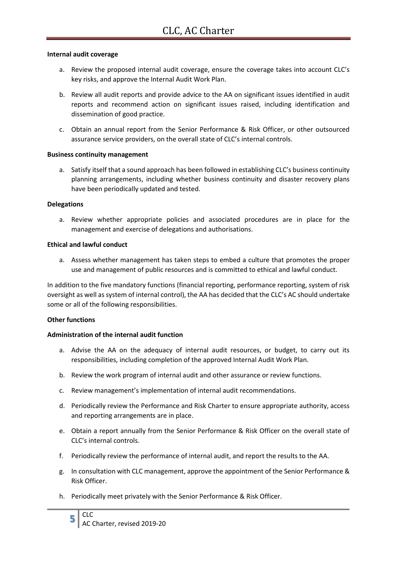#### **Internal audit coverage**

- a. Review the proposed internal audit coverage, ensure the coverage takes into account CLC's key risks, and approve the Internal Audit Work Plan.
- b. Review all audit reports and provide advice to the AA on significant issues identified in audit reports and recommend action on significant issues raised, including identification and dissemination of good practice.
- c. Obtain an annual report from the Senior Performance & Risk Officer, or other outsourced assurance service providers, on the overall state of CLC's internal controls.

#### **Business continuity management**

a. Satisfy itself that a sound approach has been followed in establishing CLC's business continuity planning arrangements, including whether business continuity and disaster recovery plans have been periodically updated and tested.

#### **Delegations**

a. Review whether appropriate policies and associated procedures are in place for the management and exercise of delegations and authorisations.

#### **Ethical and lawful conduct**

a. Assess whether management has taken steps to embed a culture that promotes the proper use and management of public resources and is committed to ethical and lawful conduct.

In addition to the five mandatory functions (financial reporting, performance reporting, system of risk oversight as well as system of internal control), the AA has decided that the CLC's AC should undertake some or all of the following responsibilities.

# **Other functions**

# **Administration of the internal audit function**

- a. Advise the AA on the adequacy of internal audit resources, or budget, to carry out its responsibilities, including completion of the approved Internal Audit Work Plan.
- b. Review the work program of internal audit and other assurance or review functions.
- c. Review management's implementation of internal audit recommendations.
- d. Periodically review the Performance and Risk Charter to ensure appropriate authority, access and reporting arrangements are in place.
- e. Obtain a report annually from the Senior Performance & Risk Officer on the overall state of CLC's internal controls.
- f. Periodically review the performance of internal audit, and report the results to the AA.
- g. In consultation with CLC management, approve the appointment of the Senior Performance & Risk Officer.
- h. Periodically meet privately with the Senior Performance & Risk Officer.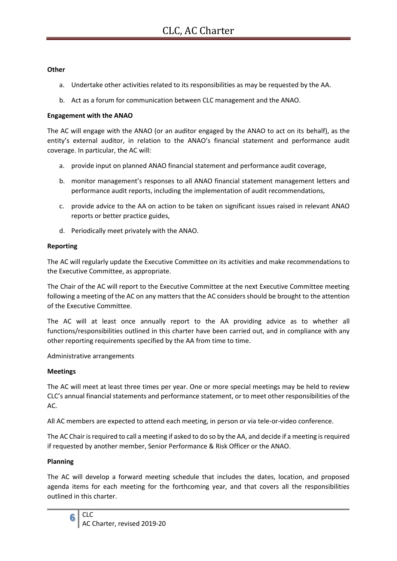#### **Other**

- a. Undertake other activities related to its responsibilities as may be requested by the AA.
- b. Act as a forum for communication between CLC management and the ANAO.

#### **Engagement with the ANAO**

The AC will engage with the ANAO (or an auditor engaged by the ANAO to act on its behalf), as the entity's external auditor, in relation to the ANAO's financial statement and performance audit coverage. In particular, the AC will:

- a. provide input on planned ANAO financial statement and performance audit coverage,
- b. monitor management's responses to all ANAO financial statement management letters and performance audit reports, including the implementation of audit recommendations,
- c. provide advice to the AA on action to be taken on significant issues raised in relevant ANAO reports or better practice guides,
- d. Periodically meet privately with the ANAO.

#### **Reporting**

The AC will regularly update the Executive Committee on its activities and make recommendations to the Executive Committee, as appropriate.

The Chair of the AC will report to the Executive Committee at the next Executive Committee meeting following a meeting of the AC on any matters that the AC considers should be brought to the attention of the Executive Committee.

The AC will at least once annually report to the AA providing advice as to whether all functions/responsibilities outlined in this charter have been carried out, and in compliance with any other reporting requirements specified by the AA from time to time.

Administrative arrangements

# **Meetings**

The AC will meet at least three times per year. One or more special meetings may be held to review CLC's annual financial statements and performance statement, or to meet other responsibilities of the AC.

All AC members are expected to attend each meeting, in person or via tele-or-video conference.

The AC Chair is required to call a meeting if asked to do so by the AA, and decide if a meeting is required if requested by another member, Senior Performance & Risk Officer or the ANAO.

# **Planning**

The AC will develop a forward meeting schedule that includes the dates, location, and proposed agenda items for each meeting for the forthcoming year, and that covers all the responsibilities outlined in this charter.